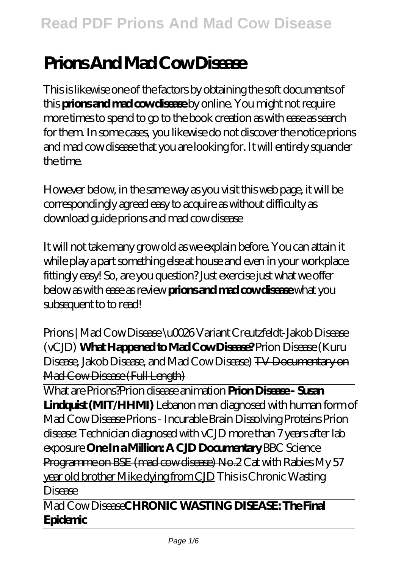# **Prions And Mad Cow Disease**

This is likewise one of the factors by obtaining the soft documents of this **prions and mad cow disease** by online. You might not require more times to spend to go to the book creation as with ease as search for them. In some cases, you likewise do not discover the notice prions and mad cow disease that you are looking for. It will entirely squander the time.

However below, in the same way as you visit this web page, it will be correspondingly agreed easy to acquire as without difficulty as download guide prions and mad cow disease

It will not take many grow old as we explain before. You can attain it while play a part something else at house and even in your workplace. fittingly easy! So, are you question? Just exercise just what we offer below as with ease as review **prions and mad cow disease** what you subsequent to to read!

*Prions | Mad Cow Disease \u0026 Variant Creutzfeldt-Jakob Disease (vCJD)* **What Happened to Mad Cow Disease?** Prion Disease (Kuru Disease, Jakob Disease, and Mad Cow Disease) TV Documentary on Mad Cow Disease (Full Length)

What are Prions?*Prion disease animation* **Prion Disease - Susan Lindquist (MIT/HHMI)** Lebanon man diagnosed with human form of Mad Cow Disease Prions - Incurable Brain Dissolving Proteins *Prion disease: Technician diagnosed with vCJD more than 7 years after lab exposure* **One In a Million: A CJD Documentary** BBC Science Programme on BSE (mad cow disease) No. 2 Cat with Rabies My 57 year old brother Mike dying from CJD *This is Chronic Wasting Disease*

Mad Cow Disease**CHRONIC WASTING DISEASE: The Final Epidemic**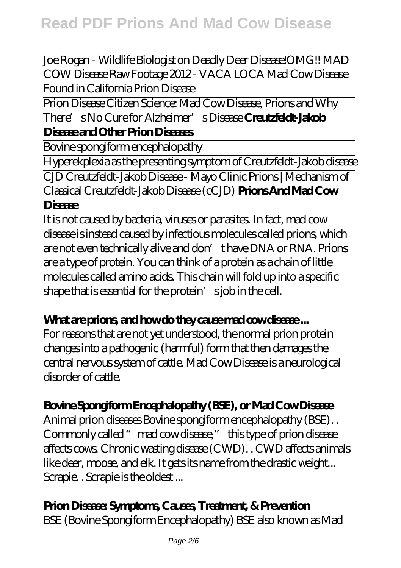Joe Rogan - Wildlife Biologist on Deadly Deer Disease!OMG!! MAD COW Disease Raw Footage 2012 - VACA LOCA Mad Cow Disease Found in California *Prion Disease*

Prion Disease Citizen Science: Mad Cow Disease, Prions and Why There's No Cure for Alzheimer's Disease **Creutzfeldt-Jakob Disease and Other Prion Diseases**

Bovine spongiform encephalopathy

Hyperekplexia as the presenting symptom of Creutzfeldt-Jakob disease CJD Creutzfeldt-Jakob Disease - Mayo Clinic Prions | Mechanism of Classical Creutzfeldt-Jakob Disease (cCJD) **Prions And Mad Cow Disease**

It is not caused by bacteria, viruses or parasites. In fact, mad cow disease is instead caused by infectious molecules called prions, which are not even technically alive and don't have DNA or RNA. Prions are a type of protein. You can think of a protein as a chain of little molecules called amino acids. This chain will fold up into a specific shape that is essential for the protein' sjob in the cell.

#### What are prions, and how do they cause mad cow disease...

For reasons that are not yet understood, the normal prion protein changes into a pathogenic (harmful) form that then damages the central nervous system of cattle. Mad Cow Disease is a neurological disorder of cattle.

#### **Bovine Spongiform Encephalopathy (BSE), or Mad Cow Disease**

Animal prion diseases Bovine spongiform encephalopathy (BSE). . Commonly called "mad cow disease," this type of prion disease affects cows. Chronic wasting disease (CWD). . CWD affects animals like deer, moose, and elk. It gets its name from the drastic weight... Scrapie. . Scrapie is the oldest ...

#### **Prion Disease: Symptoms, Causes, Treatment, & Prevention**

BSE (Bovine Spongiform Encephalopathy) BSE also known as Mad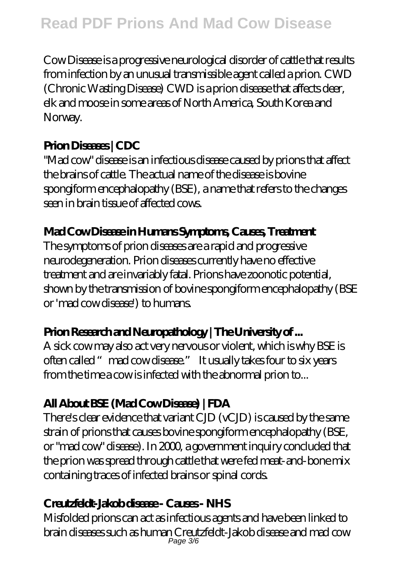# **Read PDF Prions And Mad Cow Disease**

Cow Disease is a progressive neurological disorder of cattle that results from infection by an unusual transmissible agent called a prion. CWD (Chronic Wasting Disease) CWD is a prion disease that affects deer, elk and moose in some areas of North America, South Korea and Norway.

#### **Prion Diseases | CDC**

"Mad cow" disease is an infectious disease caused by prions that affect the brains of cattle. The actual name of the disease is bovine spongiform encephalopathy (BSE), a name that refers to the changes seen in brain tissue of affected cows.

#### **Mad Cow Disease in Humans Symptoms, Causes, Treatment**

The symptoms of prion diseases are a rapid and progressive neurodegeneration. Prion diseases currently have no effective treatment and are invariably fatal. Prions have zoonotic potential, shown by the transmission of bovine spongiform encephalopathy (BSE or 'mad cow disease') to humans.

#### **Prion Research and Neuropathology | The University of ...**

A sick cow may also act very nervous or violent, which is why BSE is often called "mad cow disease." It usually takes four to six years from the time a cow is infected with the abnormal prion to...

#### **All About BSE (Mad Cow Disease) | FDA**

There's clear evidence that variant CJD (vCJD) is caused by the same strain of prions that causes bovine spongiform encephalopathy (BSE, or "mad cow" disease). In 2000, a government inquiry concluded that the prion was spread through cattle that were fed meat-and-bone mix containing traces of infected brains or spinal cords.

#### **Creutzfeldt-Jakob disease - Causes - NHS**

Misfolded prions can act as infectious agents and have been linked to brain diseases such as human Creutzfeldt-Jakob disease and mad cow Page 3/6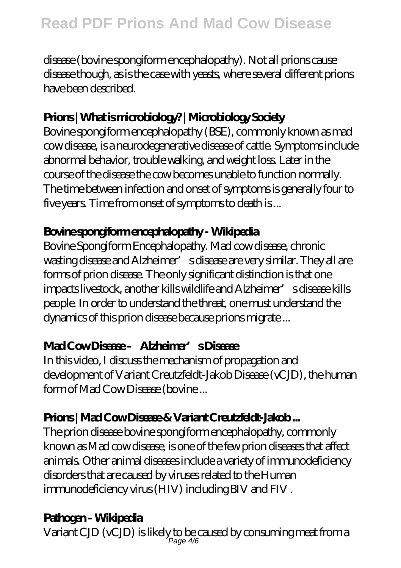disease (bovine spongiform encephalopathy). Not all prions cause disease though, as is the case with yeasts, where several different prions have been described.

#### **Prions | What is microbiology? | Microbiology Society**

Bovine spongiform encephalopathy (BSE), commonly known as mad cow disease, is a neurodegenerative disease of cattle. Symptoms include abnormal behavior, trouble walking, and weight loss. Later in the course of the disease the cow becomes unable to function normally. The time between infection and onset of symptoms is generally four to five years. Time from onset of symptoms to death is ...

#### **Bovine spongiform encephalopathy - Wikipedia**

Bovine Spongiform Encephalopathy. Mad cow disease, chronic wasting disease and Alzheimer' s disease are very similar. They all are forms of prion disease. The only significant distinction is that one impacts livestock, another kills wildlife and Alzheimer's disease kills people. In order to understand the threat, one must understand the dynamics of this prion disease because prions migrate ...

#### **Mad Cow Disease – Alzheimer's Disease**

In this video, I discuss the mechanism of propagation and development of Variant Creutzfeldt-Jakob Disease (vCJD), the human form of Mad Cow Disease (bovine ...

### **Prions | Mad Cow Disease & Variant Creutzfeldt-Jakob ...**

The prion disease bovine spongiform encephalopathy, commonly known as Mad cow disease, is one of the few prion diseases that affect animals. Other animal diseases include a variety of immunodeficiency disorders that are caused by viruses related to the Human immunodeficiency virus (HIV) including BIV and FIV .

### **Pathogen - Wikipedia**

Variant CJD (vCJD) is likely to be caused by consuming meat from a<br>Page 4/6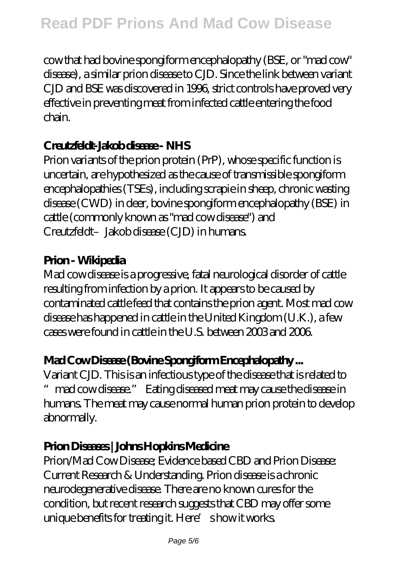# **Read PDF Prions And Mad Cow Disease**

cow that had bovine spongiform encephalopathy (BSE, or "mad cow" disease), a similar prion disease to CJD. Since the link between variant CJD and BSE was discovered in 1996, strict controls have proved very effective in preventing meat from infected cattle entering the food chain.

#### **Creutzfeldt-Jakob disease - NHS**

Prion variants of the prion protein (PrP), whose specific function is uncertain, are hypothesized as the cause of transmissible spongiform encephalopathies (TSEs), including scrapie in sheep, chronic wasting disease (CWD) in deer, bovine spongiform encephalopathy (BSE) in cattle (commonly known as "mad cow disease") and Creutzfeldt–Jakob disease (CJD) in humans.

#### **Prion - Wikipedia**

Mad cow disease is a progressive, fatal neurological disorder of cattle resulting from infection by a prion. It appears to be caused by contaminated cattle feed that contains the prion agent. Most mad cow disease has happened in cattle in the United Kingdom (U.K.), a few cases were found in cattle in the U.S. between 2003 and 2006.

#### **Mad Cow Disease (Bovine Spongiform Encephalopathy ...**

Variant CJD. This is an infectious type of the disease that is related to mad cow disease." Eating diseased meat may cause the disease in humans. The meat may cause normal human prion protein to develop abnormally.

#### **Prion Diseases | Johns Hopkins Medicine**

Prion/Mad Cow Disease; Evidence based CBD and Prion Disease: Current Research & Understanding. Prion disease is a chronic neurodegenerative disease. There are no known cures for the condition, but recent research suggests that CBD may offer some unique benefits for treating it. Here's how it works.